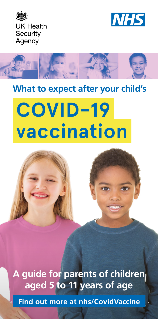





# **What to expect after your child's**

# **COVID-19 vaccination**



A guide for parents of children **aged 5 to 11 years of age**

**Find out more at [nhs/CovidVaccine](https://www.nhs.uk/conditions/coronavirus-covid-19/coronavirus-vaccination/coronavirus-vaccine/)**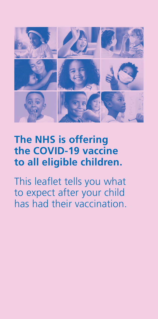

# **The NHS is offering the COVID-19 vaccine to all eligible children.**

This leaflet tells you what to expect after your child has had their vaccination.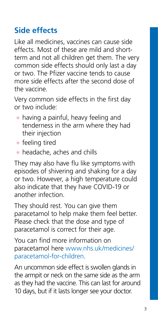# **Side effects**

Like all medicines, vaccines can cause side effects. Most of these are mild and shortterm and not all children get them. The very common side effects should only last a day or two. The Pfizer vaccine tends to cause more side effects after the second dose of the vaccine.

Very common side effects in the first day or two include:

- having a painful, heavy feeling and tenderness in the arm where they had their injection
- $\bullet$  feeling tired
- $\bullet$  headache, aches and chills

They may also have flu like symptoms with episodes of shivering and shaking for a day or two. However, a high temperature could also indicate that they have COVID-19 or another infection.

They should rest. You can give them paracetamol to help make them feel better. Please check that the dose and type of paracetamol is correct for their age.

You can find more information on paracetamol here [www.nhs.uk/medicines/](http://www.nhs.uk/medicines/paracetamol-for-children) [paracetamol-for-children.](http://www.nhs.uk/medicines/paracetamol-for-children)

An uncommon side effect is swollen glands in the armpit or neck on the same side as the arm as they had the vaccine. This can last for around 10 days, but if it lasts longer see your doctor.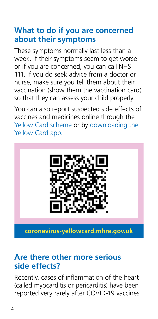# **What to do if you are concerned about their symptoms**

These symptoms normally last less than a week. If their symptoms seem to get worse or if you are concerned, you can call NHS 111. If you do seek advice from a doctor or nurse, make sure you tell them about their vaccination (show them the vaccination card) so that they can assess your child properly.

You can also report suspected side effects of vaccines and medicines online through the [Yellow Card scheme](https://coronavirus-yellowcard.mhra.gov.uk/) or by [downloading the](https://yellowcard.mhra.gov.uk)  [Yellow Card app.](https://yellowcard.mhra.gov.uk)



**coronavirus-yellowcard.mhra.gov.uk**

#### **Are there other more serious side effects?**

Recently, cases of inflammation of the heart (called myocarditis or pericarditis) have been reported very rarely after COVID-19 vaccines.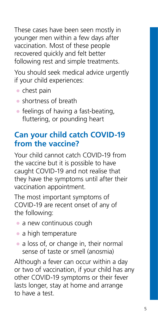These cases have been seen mostly in younger men within a few days after vaccination. Most of these people recovered quickly and felt better following rest and simple treatments.

You should seek medical advice urgently if your child experiences:

- chest pain
- shortness of breath
- feelings of having a fast-beating, fluttering, or pounding heart

## **Can your child catch COVID-19 from the vaccine?**

Your child cannot catch COVID-19 from the vaccine but it is possible to have caught COVID-19 and not realise that they have the symptoms until after their vaccination appointment.

The most important symptoms of COVID-19 are recent onset of any of the following:

- a new continuous cough
- a high temperature
- a loss of, or change in, their normal sense of taste or smell (anosmia)

Although a fever can occur within a day or two of vaccination, if your child has any other COVID-19 symptoms or their fever lasts longer, stay at home and arrange to have a test.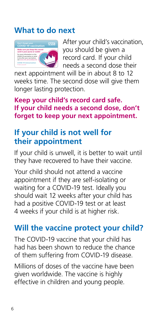# **What to do next**



After your child's vaccination, you should be given a record card. If your child needs a second dose their

next appointment will be in about 8 to 12 weeks time. The second dose will give them longer lasting protection.

**Keep your child's record card safe. If your child needs a second dose, don't forget to keep your next appointment.**

# **If your child is not well for their appointment**

If your child is unwell, it is better to wait until they have recovered to have their vaccine.

Your child should not attend a vaccine appointment if they are self-isolating or waiting for a COVID-19 test. Ideally you should wait 12 weeks after your child has had a positive COVID-19 test or at least 4 weeks if your child is at higher risk.

# **Will the vaccine protect your child?**

The COVID-19 vaccine that your child has had has been shown to reduce the chance of them suffering from COVID-19 disease.

Millions of doses of the vaccine have been given worldwide. The vaccine is highly effective in children and young people.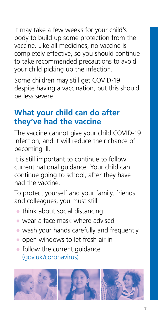It may take a few weeks for your child's body to build up some protection from the vaccine. Like all medicines, no vaccine is completely effective, so you should continue to take recommended precautions to avoid your child picking up the infection.

Some children may still get COVID-19 despite having a vaccination, but this should be less severe.

# **What your child can do after they've had the vaccine**

The vaccine cannot give your child COVID-19 infection, and it will reduce their chance of becoming ill.

It is still important to continue to follow current national guidance. Your child can continue going to school, after they have had the vaccine.

To protect yourself and your family, friends and colleagues, you must still:

- think about social distancing
- wear a face mask where advised
- wash your hands carefully and frequently
- open windows to let fresh air in
- $\bullet$  follow the current quidance [\(gov.uk/coronavirus](https://www.gov.uk/coronavirus))